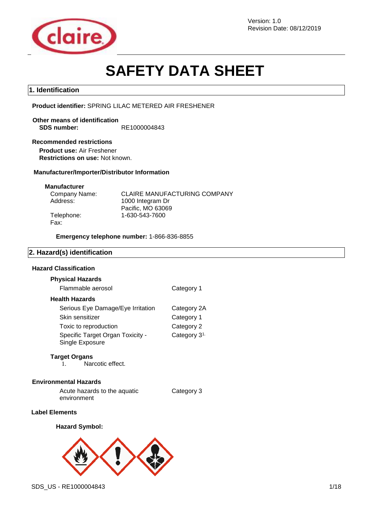

Revision Date: 08/12/2019

# **SAFETY DATA SHEET**

# **1. Identification**

**Product identifier:** SPRING LILAC METERED AIR FRESHENER

**Other means of identification SDS number:** RE1000004843

### **Recommended restrictions**

**Product use:** Air Freshener **Restrictions on use:** Not known.

### **Manufacturer/Importer/Distributor Information**

### **Manufacturer**

| Company Name: | <b>CLAIRE MANUFACTURING COMPANY</b> |
|---------------|-------------------------------------|
| Address:      | 1000 Integram Dr                    |
|               | Pacific, MO 63069                   |
| Telephone:    | 1-630-543-7600                      |
| Fax:          |                                     |

**Emergency telephone number:** 1-866-836-8855

# **2. Hazard(s) identification**

# **Hazard Classification**

### **Physical Hazards**

| Flammable aerosol                                   | Category 1               |
|-----------------------------------------------------|--------------------------|
| <b>Health Hazards</b>                               |                          |
| Serious Eye Damage/Eye Irritation                   | Category 2A              |
| Skin sensitizer                                     | Category 1               |
| Toxic to reproduction                               | Category 2               |
| Specific Target Organ Toxicity -<br>Single Exposure | Category 3 <sup>1.</sup> |

### **Target Organs**

1. Narcotic effect.

### **Environmental Hazards**

Acute hazards to the aquatic environment Category 3

### **Label Elements**

### **Hazard Symbol:**



SDS\_US - RE1000004843 1/18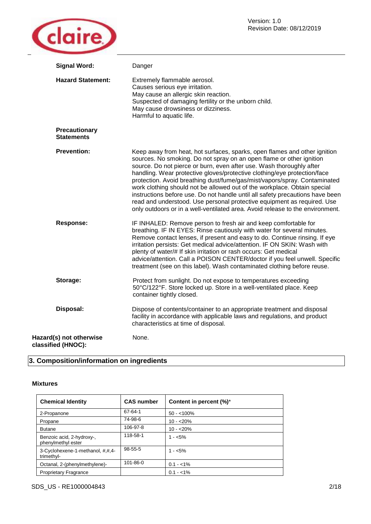

| <b>Signal Word:</b>                           | Danger                                                                                                                                                                                                                                                                                                                                                                                                                                                                                                                                                                                                                                                                                                      |
|-----------------------------------------------|-------------------------------------------------------------------------------------------------------------------------------------------------------------------------------------------------------------------------------------------------------------------------------------------------------------------------------------------------------------------------------------------------------------------------------------------------------------------------------------------------------------------------------------------------------------------------------------------------------------------------------------------------------------------------------------------------------------|
| <b>Hazard Statement:</b>                      | Extremely flammable aerosol.<br>Causes serious eye irritation.<br>May cause an allergic skin reaction.<br>Suspected of damaging fertility or the unborn child.<br>May cause drowsiness or dizziness.<br>Harmful to aquatic life.                                                                                                                                                                                                                                                                                                                                                                                                                                                                            |
| Precautionary<br><b>Statements</b>            |                                                                                                                                                                                                                                                                                                                                                                                                                                                                                                                                                                                                                                                                                                             |
| <b>Prevention:</b>                            | Keep away from heat, hot surfaces, sparks, open flames and other ignition<br>sources. No smoking. Do not spray on an open flame or other ignition<br>source. Do not pierce or burn, even after use. Wash thoroughly after<br>handling. Wear protective gloves/protective clothing/eye protection/face<br>protection. Avoid breathing dust/fume/gas/mist/vapors/spray. Contaminated<br>work clothing should not be allowed out of the workplace. Obtain special<br>instructions before use. Do not handle until all safety precautions have been<br>read and understood. Use personal protective equipment as required. Use<br>only outdoors or in a well-ventilated area. Avoid release to the environment. |
| <b>Response:</b>                              | IF INHALED: Remove person to fresh air and keep comfortable for<br>breathing. IF IN EYES: Rinse cautiously with water for several minutes.<br>Remove contact lenses, if present and easy to do. Continue rinsing. If eye<br>irritation persists: Get medical advice/attention. IF ON SKIN: Wash with<br>plenty of water/# If skin irritation or rash occurs: Get medical<br>advice/attention. Call a POISON CENTER/doctor if you feel unwell. Specific<br>treatment (see on this label). Wash contaminated clothing before reuse.                                                                                                                                                                           |
| Storage:                                      | Protect from sunlight. Do not expose to temperatures exceeding<br>50°C/122°F. Store locked up. Store in a well-ventilated place. Keep<br>container tightly closed.                                                                                                                                                                                                                                                                                                                                                                                                                                                                                                                                          |
| Disposal:                                     | Dispose of contents/container to an appropriate treatment and disposal<br>facility in accordance with applicable laws and regulations, and product<br>characteristics at time of disposal.                                                                                                                                                                                                                                                                                                                                                                                                                                                                                                                  |
| Hazard(s) not otherwise<br>classified (HNOC): | None.                                                                                                                                                                                                                                                                                                                                                                                                                                                                                                                                                                                                                                                                                                       |

# **3. Composition/information on ingredients**

### **Mixtures**

| <b>Chemical Identity</b>                        | <b>CAS number</b> | Content in percent (%)* |
|-------------------------------------------------|-------------------|-------------------------|
| 2-Propanone                                     | 67-64-1           | $50 - 100\%$            |
| Propane                                         | 74-98-6           | $10 - 20%$              |
| <b>Butane</b>                                   | 106-97-8          | $10 - 20%$              |
| Benzoic acid, 2-hydroxy-,<br>phenylmethyl ester | 118-58-1          | $1 - 5\%$               |
| 3-Cyclohexene-1-methanol, #,#,4-<br>trimethyl-  | $98 - 55 - 5$     | $1 - 5\%$               |
| Octanal, 2-(phenylmethylene)-                   | 101-86-0          | $0.1 - 1\%$             |
| <b>Proprietary Fragrance</b>                    |                   | $0.1 - 1\%$             |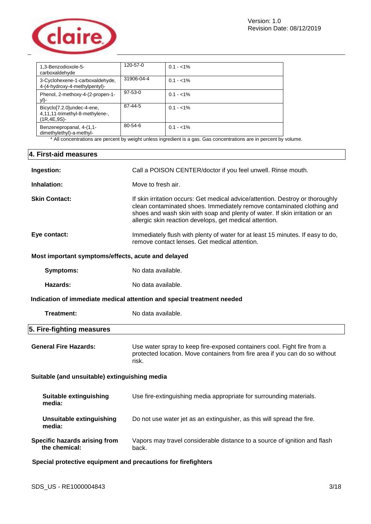

| 1,3-Benzodioxole-5-<br>carboxaldehyde                                       | 120-57-0      | $0.1 - 1\%$ |
|-----------------------------------------------------------------------------|---------------|-------------|
| 3-Cyclohexene-1-carboxaldehyde,<br>4-(4-hydroxy-4-methylpentyl)-            | 31906-04-4    | $0.1 - 1\%$ |
| Phenol, 2-methoxy-4-(2-propen-1-<br>yl)-                                    | $97 - 53 - 0$ | $0.1 - 1\%$ |
| Bicyclo[7.2.0]undec-4-ene,<br>4,11,11-trimethyl-8-methylene-,<br>(1R.4E.9S) | 87-44-5       | $0.1 - 1\%$ |
| Benzenepropanal, 4-(1,1-<br>dimethylethyl)-a-methyl-                        | $80 - 54 - 6$ | $0.1 - 1\%$ |

\* All concentrations are percent by weight unless ingredient is a gas. Gas concentrations are in percent by volume.

# **4. First-aid measures**

| Ingestion:                                                             | Call a POISON CENTER/doctor if you feel unwell. Rinse mouth.                                                                                                                                                                                                                                       |  |  |
|------------------------------------------------------------------------|----------------------------------------------------------------------------------------------------------------------------------------------------------------------------------------------------------------------------------------------------------------------------------------------------|--|--|
| Inhalation:                                                            | Move to fresh air.                                                                                                                                                                                                                                                                                 |  |  |
| <b>Skin Contact:</b>                                                   | If skin irritation occurs: Get medical advice/attention. Destroy or thoroughly<br>clean contaminated shoes. Immediately remove contaminated clothing and<br>shoes and wash skin with soap and plenty of water. If skin irritation or an<br>allergic skin reaction develops, get medical attention. |  |  |
| Eye contact:                                                           | Immediately flush with plenty of water for at least 15 minutes. If easy to do,<br>remove contact lenses. Get medical attention.                                                                                                                                                                    |  |  |
| Most important symptoms/effects, acute and delayed                     |                                                                                                                                                                                                                                                                                                    |  |  |
| <b>Symptoms:</b>                                                       | No data available.                                                                                                                                                                                                                                                                                 |  |  |
| Hazards:                                                               | No data available.                                                                                                                                                                                                                                                                                 |  |  |
| Indication of immediate medical attention and special treatment needed |                                                                                                                                                                                                                                                                                                    |  |  |
| <b>Treatment:</b>                                                      | No data available.                                                                                                                                                                                                                                                                                 |  |  |
| 5. Fire-fighting measures                                              |                                                                                                                                                                                                                                                                                                    |  |  |
| <b>General Fire Hazards:</b>                                           | Use water spray to keep fire-exposed containers cool. Fight fire from a<br>protected location. Move containers from fire area if you can do so without<br>risk.                                                                                                                                    |  |  |
| Suitable (and unsuitable) extinguishing media                          |                                                                                                                                                                                                                                                                                                    |  |  |
| <b>Suitable extinguishing</b><br>media:                                | Use fire-extinguishing media appropriate for surrounding materials.                                                                                                                                                                                                                                |  |  |
| <b>Unsuitable extinguishing</b><br>media:                              | Do not use water jet as an extinguisher, as this will spread the fire.                                                                                                                                                                                                                             |  |  |
| Specific hazards arising from<br>the chemical:                         | Vapors may travel considerable distance to a source of ignition and flash<br>back.                                                                                                                                                                                                                 |  |  |
| Special protective equipment and precautions for firefighters          |                                                                                                                                                                                                                                                                                                    |  |  |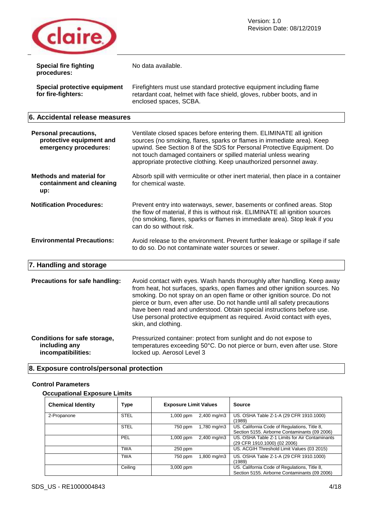

| <b>Special fire fighting</b><br>procedures:                                       | No data available.                                                                                                                                                                                                                                                                                                                                                                                                                                                                           |
|-----------------------------------------------------------------------------------|----------------------------------------------------------------------------------------------------------------------------------------------------------------------------------------------------------------------------------------------------------------------------------------------------------------------------------------------------------------------------------------------------------------------------------------------------------------------------------------------|
| Special protective equipment<br>for fire-fighters:                                | Firefighters must use standard protective equipment including flame<br>retardant coat, helmet with face shield, gloves, rubber boots, and in<br>enclosed spaces, SCBA.                                                                                                                                                                                                                                                                                                                       |
| 6. Accidental release measures                                                    |                                                                                                                                                                                                                                                                                                                                                                                                                                                                                              |
| <b>Personal precautions,</b><br>protective equipment and<br>emergency procedures: | Ventilate closed spaces before entering them. ELIMINATE all ignition<br>sources (no smoking, flares, sparks or flames in immediate area). Keep<br>upwind. See Section 8 of the SDS for Personal Protective Equipment. Do<br>not touch damaged containers or spilled material unless wearing<br>appropriate protective clothing. Keep unauthorized personnel away.                                                                                                                            |
| <b>Methods and material for</b><br>containment and cleaning<br>up:                | Absorb spill with vermiculite or other inert material, then place in a container<br>for chemical waste.                                                                                                                                                                                                                                                                                                                                                                                      |
| <b>Notification Procedures:</b>                                                   | Prevent entry into waterways, sewer, basements or confined areas. Stop<br>the flow of material, if this is without risk. ELIMINATE all ignition sources<br>(no smoking, flares, sparks or flames in immediate area). Stop leak if you<br>can do so without risk.                                                                                                                                                                                                                             |
| <b>Environmental Precautions:</b>                                                 | Avoid release to the environment. Prevent further leakage or spillage if safe<br>to do so. Do not contaminate water sources or sewer.                                                                                                                                                                                                                                                                                                                                                        |
| 7. Handling and storage                                                           |                                                                                                                                                                                                                                                                                                                                                                                                                                                                                              |
| Precautions for safe handling:                                                    | Avoid contact with eyes. Wash hands thoroughly after handling. Keep away<br>from heat, hot surfaces, sparks, open flames and other ignition sources. No<br>smoking. Do not spray on an open flame or other ignition source. Do not<br>pierce or burn, even after use. Do not handle until all safety precautions<br>have been read and understood. Obtain special instructions before use.<br>Use personal protective equipment as required. Avoid contact with eyes,<br>skin, and clothing. |
| Conditions for safe storage,<br>including any<br>incompatibilities:               | Pressurized container: protect from sunlight and do not expose to<br>temperatures exceeding 50°C. Do not pierce or burn, even after use. Store<br>locked up. Aerosol Level 3                                                                                                                                                                                                                                                                                                                 |

# **8. Exposure controls/personal protection**

# **Control Parameters**

# **Occupational Exposure Limits**

| <b>Chemical Identity</b> | Type        | <b>Exposure Limit Values</b> |                         | <b>Source</b>                                                                                 |
|--------------------------|-------------|------------------------------|-------------------------|-----------------------------------------------------------------------------------------------|
| 2-Propanone              | <b>STEL</b> | 1,000 ppm                    | $2,400 \,\mathrm{mg/m}$ | US. OSHA Table Z-1-A (29 CFR 1910.1000)<br>(1989)                                             |
|                          | <b>STEL</b> | 750 ppm                      | 1,780 mg/m3             | US. California Code of Regulations, Title 8,<br>Section 5155. Airborne Contaminants (09 2006) |
|                          | PEL         | 1,000 ppm                    | $2,400 \,\mathrm{mg/m}$ | US. OSHA Table Z-1 Limits for Air Contaminants<br>(29 CFR 1910.1000) (02 2006)                |
|                          | TWA         | 250 ppm                      |                         | US. ACGIH Threshold Limit Values (03 2015)                                                    |
|                          | <b>TWA</b>  | 750 ppm                      | .800 mg/m3              | US. OSHA Table Z-1-A (29 CFR 1910.1000)<br>(1989)                                             |
|                          | Ceiling     | 3,000 ppm                    |                         | US. California Code of Regulations, Title 8,<br>Section 5155. Airborne Contaminants (09 2006) |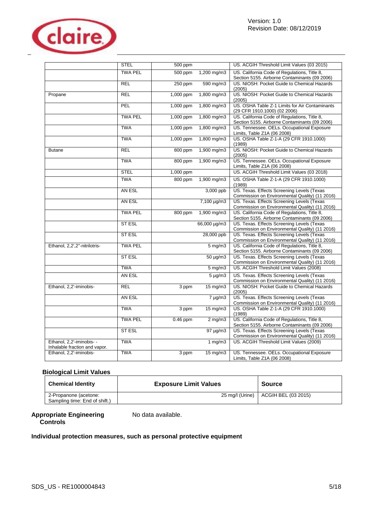

|                                                            | <b>STEL</b>    | 500 ppm    |                   | US. ACGIH Threshold Limit Values (03 2015)                                                    |
|------------------------------------------------------------|----------------|------------|-------------------|-----------------------------------------------------------------------------------------------|
|                                                            | <b>TWA PEL</b> | 500 ppm    | 1,200 mg/m3       | US. California Code of Regulations, Title 8,<br>Section 5155. Airborne Contaminants (09 2006) |
|                                                            | <b>REL</b>     | 250 ppm    | 590 mg/m3         | US. NIOSH: Pocket Guide to Chemical Hazards<br>(2005)                                         |
| Propane                                                    | <b>REL</b>     | 1,000 ppm  | 1,800 mg/m3       | US. NIOSH: Pocket Guide to Chemical Hazards<br>(2005)                                         |
|                                                            | PEL            | 1,000 ppm  | 1,800 mg/m3       | US, OSHA Table Z-1 Limits for Air Contaminants<br>(29 CFR 1910.1000) (02 2006)                |
|                                                            | <b>TWA PEL</b> | 1,000 ppm  | 1,800 mg/m3       | US. California Code of Regulations, Title 8,<br>Section 5155. Airborne Contaminants (09 2006) |
|                                                            | <b>TWA</b>     | 1,000 ppm  | 1,800 mg/m3       | US. Tennessee. OELs. Occupational Exposure<br>Limits, Table Z1A (06 2008)                     |
|                                                            | <b>TWA</b>     | 1,000 ppm  | 1,800 mg/m3       | US. OSHA Table Z-1-A (29 CFR 1910.1000)<br>(1989)                                             |
| <b>Butane</b>                                              | <b>REL</b>     | 800 ppm    | $1,900$ mg/m3     | US. NIOSH: Pocket Guide to Chemical Hazards<br>(2005)                                         |
|                                                            | <b>TWA</b>     | 800 ppm    | $1,900$ mg/m3     | US. Tennessee. OELs. Occupational Exposure<br>Limits, Table Z1A (06 2008)                     |
|                                                            | <b>STEL</b>    | 1,000 ppm  |                   | US. ACGIH Threshold Limit Values (03 2018)                                                    |
|                                                            | <b>TWA</b>     | 800 ppm    | 1,900 mg/m3       | US. OSHA Table Z-1-A (29 CFR 1910.1000)<br>(1989)                                             |
|                                                            | AN ESL         |            | 3,000 ppb         | US. Texas. Effects Screening Levels (Texas<br>Commission on Environmental Quality) (11 2016)  |
|                                                            | AN ESL         |            | 7,100 µg/m3       | US. Texas. Effects Screening Levels (Texas<br>Commission on Environmental Quality) (11 2016)  |
|                                                            | <b>TWA PEL</b> | 800 ppm    | 1,900 mg/m3       | US. California Code of Regulations, Title 8,<br>Section 5155. Airborne Contaminants (09 2006) |
|                                                            | ST ESL         |            | 66,000 µg/m3      | US. Texas. Effects Screening Levels (Texas<br>Commission on Environmental Quality) (11 2016)  |
|                                                            | <b>ST ESL</b>  |            | 28,000 ppb        | US. Texas. Effects Screening Levels (Texas<br>Commission on Environmental Quality) (11 2016)  |
| Ethanol, 2,2',2"-nitrilotris-                              | <b>TWA PEL</b> |            | $5 \text{ mg/m}$  | US. California Code of Regulations, Title 8,<br>Section 5155. Airborne Contaminants (09 2006) |
|                                                            | <b>ST ESL</b>  |            | $50 \mu g/m3$     | US. Texas. Effects Screening Levels (Texas<br>Commission on Environmental Quality) (11 2016)  |
|                                                            | <b>TWA</b>     |            | $5 \text{ mg/m}$  | US. ACGIH Threshold Limit Values (2008)                                                       |
|                                                            | AN ESL         |            | $5 \mu g/m3$      | US. Texas. Effects Screening Levels (Texas<br>Commission on Environmental Quality) (11 2016)  |
| Ethanol, 2,2'-iminobis-                                    | <b>REL</b>     | 3 ppm      | $15 \text{ mg/m}$ | US. NIOSH: Pocket Guide to Chemical Hazards<br>(2005)                                         |
|                                                            | AN ESL         |            | $7 \mu g/m3$      | US. Texas. Effects Screening Levels (Texas<br>Commission on Environmental Quality) (11 2016)  |
|                                                            | <b>TWA</b>     | 3 ppm      | $15 \text{ mg/m}$ | US. OSHA Table Z-1-A (29 CFR 1910.1000)<br>(1989)                                             |
|                                                            | <b>TWA PEL</b> | $0.46$ ppm | $2$ mg/m $3$      | US. California Code of Regulations, Title 8,<br>Section 5155. Airborne Contaminants (09 2006) |
|                                                            | ST ESL         |            | $97 \mu g/m3$     | US. Texas. Effects Screening Levels (Texas<br>Commission on Environmental Quality) (11 2016)  |
| Ethanol, 2,2'-iminobis- -<br>Inhalable fraction and vapor. | <b>TWA</b>     |            | 1 $mg/m3$         | US. ACGIH Threshold Limit Values (2009)                                                       |
| Ethanol, 2,2'-iminobis-                                    | <b>TWA</b>     | $3$ ppm    | $15 \text{ mg/m}$ | US. Tennessee. OELs. Occupational Exposure<br>Limits, Table Z1A (06 2008)                     |

# **Biological Limit Values**

| <b>Chemical Identity</b>                               | <b>Exposure Limit Values</b> | <b>Source</b>       |
|--------------------------------------------------------|------------------------------|---------------------|
| 2-Propanone (acetone:<br>Sampling time: End of shift.) | 25 mg/l (Urine)              | ACGIH BEL (03 2015) |

### Appropriate Engineering No data available. **Controls**

# **Individual protection measures, such as personal protective equipment**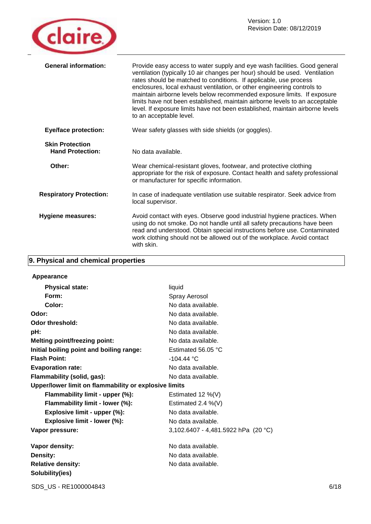

| <b>General information:</b>                       | Provide easy access to water supply and eye wash facilities. Good general<br>ventilation (typically 10 air changes per hour) should be used. Ventilation<br>rates should be matched to conditions. If applicable, use process<br>enclosures, local exhaust ventilation, or other engineering controls to<br>maintain airborne levels below recommended exposure limits. If exposure<br>limits have not been established, maintain airborne levels to an acceptable<br>level. If exposure limits have not been established, maintain airborne levels<br>to an acceptable level. |
|---------------------------------------------------|--------------------------------------------------------------------------------------------------------------------------------------------------------------------------------------------------------------------------------------------------------------------------------------------------------------------------------------------------------------------------------------------------------------------------------------------------------------------------------------------------------------------------------------------------------------------------------|
| <b>Eye/face protection:</b>                       | Wear safety glasses with side shields (or goggles).                                                                                                                                                                                                                                                                                                                                                                                                                                                                                                                            |
| <b>Skin Protection</b><br><b>Hand Protection:</b> | No data available.                                                                                                                                                                                                                                                                                                                                                                                                                                                                                                                                                             |
| Other:                                            | Wear chemical-resistant gloves, footwear, and protective clothing<br>appropriate for the risk of exposure. Contact health and safety professional<br>or manufacturer for specific information.                                                                                                                                                                                                                                                                                                                                                                                 |
| <b>Respiratory Protection:</b>                    | In case of inadequate ventilation use suitable respirator. Seek advice from<br>local supervisor.                                                                                                                                                                                                                                                                                                                                                                                                                                                                               |
| <b>Hygiene measures:</b>                          | Avoid contact with eyes. Observe good industrial hygiene practices. When<br>using do not smoke. Do not handle until all safety precautions have been<br>read and understood. Obtain special instructions before use. Contaminated<br>work clothing should not be allowed out of the workplace. Avoid contact<br>with skin.                                                                                                                                                                                                                                                     |

# **9. Physical and chemical properties**

| Appearance                                            |                                       |
|-------------------------------------------------------|---------------------------------------|
| <b>Physical state:</b>                                | liquid                                |
| Form:                                                 | Spray Aerosol                         |
| Color:                                                | No data available.                    |
| Odor:                                                 | No data available.                    |
| Odor threshold:                                       | No data available.                    |
| pH:                                                   | No data available.                    |
| <b>Melting point/freezing point:</b>                  | No data available.                    |
| Initial boiling point and boiling range:              | Estimated 56.05 $\degree$ C           |
| <b>Flash Point:</b>                                   | $-104.44 °C$                          |
| <b>Evaporation rate:</b>                              | No data available.                    |
| Flammability (solid, gas):                            | No data available.                    |
| Upper/lower limit on flammability or explosive limits |                                       |
| Flammability limit - upper (%):                       | Estimated 12 $%$ (V)                  |
| Flammability limit - lower (%):                       | Estimated 2.4 $%$ (V)                 |
| Explosive limit - upper (%):                          | No data available.                    |
| Explosive limit - lower (%):                          | No data available.                    |
| Vapor pressure:                                       | 3,102.6407 - 4,481.5922 hPa $(20 °C)$ |
| Vapor density:                                        | No data available.                    |
| Density:                                              | No data available.                    |
| <b>Relative density:</b>                              | No data available.                    |
| Solubility(ies)                                       |                                       |
|                                                       |                                       |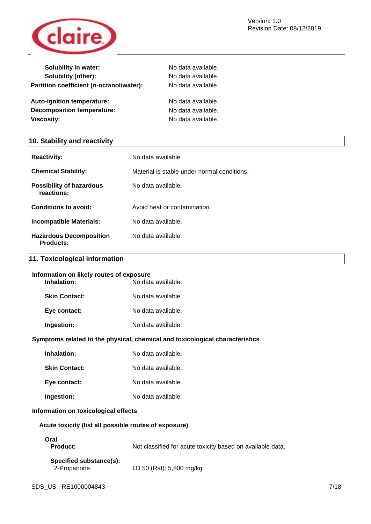

| No data available. |
|--------------------|
| No data available. |
| No data available. |
| No data available. |
| No data available. |
| No data available. |
|                    |

# **10. Stability and reactivity**

| <b>Reactivity:</b>                                 | No data available.                          |
|----------------------------------------------------|---------------------------------------------|
| <b>Chemical Stability:</b>                         | Material is stable under normal conditions. |
| <b>Possibility of hazardous</b><br>reactions:      | No data available.                          |
| Conditions to avoid:                               | Avoid heat or contamination.                |
| Incompatible Materials:                            | No data available.                          |
| <b>Hazardous Decomposition</b><br><b>Products:</b> | No data available.                          |

# **11. Toxicological information**

# **Information on likely routes of exposure**

| Inhalation:          | No data available. |
|----------------------|--------------------|
| <b>Skin Contact:</b> | No data available. |
| Eye contact:         | No data available. |
| Ingestion:           | No data available. |

# **Symptoms related to the physical, chemical and toxicological characteristics**

**Skin Contact:** No data available.

**Eye contact:** No data available.

# **Ingestion:** No data available.

### **Information on toxicological effects**

### **Acute toxicity (list all possible routes of exposure)**

# **Oral**

**Product:** Not classified for acute toxicity based on available data.

| Specified substance(s): |                          |
|-------------------------|--------------------------|
| 2-Propanone             | LD 50 (Rat): 5,800 mg/kg |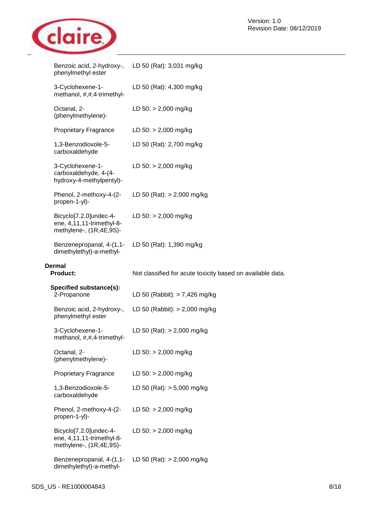

| phenylmethyl ester                                                             | Benzoic acid, 2-hydroxy-, LD 50 (Rat): 3,031 mg/kg         |
|--------------------------------------------------------------------------------|------------------------------------------------------------|
| 3-Cyclohexene-1-<br>methanol, #,#,4-trimethyl-                                 | LD 50 (Rat): 4,300 mg/kg                                   |
| Octanal, 2-<br>(phenylmethylene)-                                              | LD $50:$ > 2,000 mg/kg                                     |
| <b>Proprietary Fragrance</b>                                                   | LD $50:$ > 2,000 mg/kg                                     |
| 1,3-Benzodioxole-5-<br>carboxaldehyde                                          | LD 50 (Rat): 2,700 mg/kg                                   |
| 3-Cyclohexene-1-<br>carboxaldehyde, 4-(4-<br>hydroxy-4-methylpentyl)-          | LD $50:$ > 2,000 mg/kg                                     |
| Phenol, 2-methoxy-4-(2-<br>propen-1-yl)-                                       | LD 50 (Rat): $> 2,000$ mg/kg                               |
| Bicyclo[7.2.0]undec-4-<br>ene, 4,11,11-trimethyl-8-<br>methylene-, (1R,4E,9S)- | LD $50:$ > 2,000 mg/kg                                     |
| Benzenepropanal, 4-(1,1-<br>dimethylethyl)-a-methyl-                           | LD 50 (Rat): 1,390 mg/kg                                   |
|                                                                                |                                                            |
| <b>Dermal</b><br><b>Product:</b>                                               | Not classified for acute toxicity based on available data. |
| Specified substance(s):<br>2-Propanone                                         | LD 50 (Rabbit): $> 7,426$ mg/kg                            |
| Benzoic acid, 2-hydroxy-,<br>phenylmethyl ester                                | LD 50 (Rabbit): $>$ 2,000 mg/kg                            |
| 3-Cyclohexene-1-<br>methanol, #,#,4-trimethyl-                                 | LD 50 (Rat): $> 2,000$ mg/kg                               |
| Octanal, 2-<br>(phenylmethylene)-                                              | LD $50:$ > 2,000 mg/kg                                     |
| <b>Proprietary Fragrance</b>                                                   | LD $50:$ > 2,000 mg/kg                                     |
| 1,3-Benzodioxole-5-<br>carboxaldehyde                                          | LD 50 (Rat): $> 5,000$ mg/kg                               |
| Phenol, 2-methoxy-4-(2-<br>propen-1-yl)-                                       | LD $50:$ > 2,000 mg/kg                                     |
| Bicyclo[7.2.0]undec-4-<br>ene, 4,11,11-trimethyl-8-<br>methylene-, (1R,4E,9S)- | LD $50:$ > 2,000 mg/kg                                     |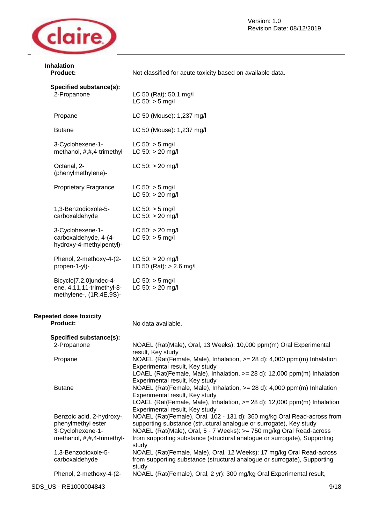

**Inhalation** 

| <b>Product:</b>                                                                                   | Not classified for acute toxicity based on available data.                                                                                                                                                                                                                                                |
|---------------------------------------------------------------------------------------------------|-----------------------------------------------------------------------------------------------------------------------------------------------------------------------------------------------------------------------------------------------------------------------------------------------------------|
| Specified substance(s):<br>2-Propanone                                                            | LC 50 (Rat): 50.1 mg/l<br>$LC 50:$ > 5 mg/l                                                                                                                                                                                                                                                               |
| Propane                                                                                           | LC 50 (Mouse): 1,237 mg/l                                                                                                                                                                                                                                                                                 |
| <b>Butane</b>                                                                                     | LC 50 (Mouse): 1,237 mg/l                                                                                                                                                                                                                                                                                 |
| 3-Cyclohexene-1-<br>methanol, #,#,4-trimethyl-                                                    | $LC 50: > 5$ mg/l<br>$LC 50: > 20$ mg/l                                                                                                                                                                                                                                                                   |
| Octanal, 2-<br>(phenylmethylene)-                                                                 | $LC 50: > 20$ mg/l                                                                                                                                                                                                                                                                                        |
| <b>Proprietary Fragrance</b>                                                                      | $LC 50:$ > 5 mg/l<br>$LC 50: > 20$ mg/l                                                                                                                                                                                                                                                                   |
| 1,3-Benzodioxole-5-<br>carboxaldehyde                                                             | $LC 50: > 5$ mg/l<br>$LC 50: > 20$ mg/l                                                                                                                                                                                                                                                                   |
| 3-Cyclohexene-1-<br>carboxaldehyde, 4-(4-<br>hydroxy-4-methylpentyl)-                             | $LC 50: > 20$ mg/l<br>$LC 50:$ > 5 mg/l                                                                                                                                                                                                                                                                   |
| Phenol, 2-methoxy-4-(2-<br>propen-1-yl)-                                                          | $LC 50: > 20$ mg/l<br>LD 50 (Rat): $> 2.6$ mg/l                                                                                                                                                                                                                                                           |
| Bicyclo[7.2.0]undec-4-<br>ene, 4,11,11-trimethyl-8-<br>methylene-, (1R,4E,9S)-                    | $LC 50: > 5$ mg/l<br>$LC 50: > 20$ mg/l                                                                                                                                                                                                                                                                   |
| <b>Repeated dose toxicity</b><br><b>Product:</b>                                                  | No data available.                                                                                                                                                                                                                                                                                        |
| Specified substance(s):<br>2-Propanone                                                            | NOAEL (Rat(Male), Oral, 13 Weeks): 10,000 ppm(m) Oral Experimental<br>result, Key study                                                                                                                                                                                                                   |
| Propane                                                                                           | NOAEL (Rat(Female, Male), Inhalation, $>= 28$ d): 4,000 ppm(m) Inhalation<br>Experimental result, Key study<br>LOAEL (Rat(Female, Male), Inhalation, > = 28 d): 12,000 ppm(m) Inhalation<br>Experimental result, Key study                                                                                |
| <b>Butane</b>                                                                                     | NOAEL (Rat(Female, Male), Inhalation, $>= 28$ d): 4,000 ppm(m) Inhalation<br>Experimental result, Key study<br>LOAEL (Rat(Female, Male), Inhalation, >= 28 d): 12,000 ppm(m) Inhalation<br>Experimental result, Key study                                                                                 |
| Benzoic acid, 2-hydroxy-,<br>phenylmethyl ester<br>3-Cyclohexene-1-<br>methanol, #,#,4-trimethyl- | NOAEL (Rat(Female), Oral, 102 - 131 d): 360 mg/kg Oral Read-across from<br>supporting substance (structural analogue or surrogate), Key study<br>NOAEL (Rat(Male), Oral, 5 - 7 Weeks): >= 750 mg/kg Oral Read-across<br>from supporting substance (structural analogue or surrogate), Supporting<br>study |
| 1,3-Benzodioxole-5-<br>carboxaldehyde                                                             | NOAEL (Rat(Female, Male), Oral, 12 Weeks): 17 mg/kg Oral Read-across<br>from supporting substance (structural analogue or surrogate), Supporting<br>study                                                                                                                                                 |
| Phenol, 2-methoxy-4-(2-                                                                           | NOAEL (Rat(Female), Oral, 2 yr): 300 mg/kg Oral Experimental result,                                                                                                                                                                                                                                      |

# SDS\_US - RE1000004843 9/18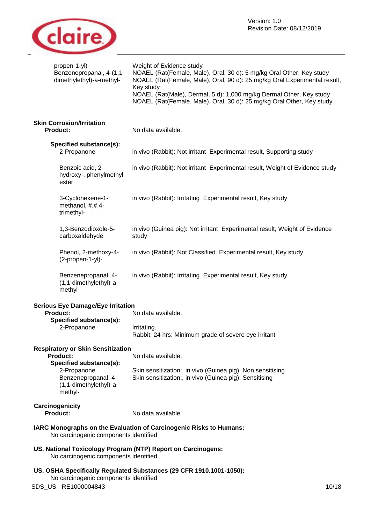

| propen-1-yl)-<br>Benzenepropanal, 4-(1,1-<br>dimethylethyl)-a-methyl-                                                                                      | Weight of Evidence study<br>NOAEL (Rat(Female, Male), Oral, 30 d): 5 mg/kg Oral Other, Key study<br>NOAEL (Rat(Female, Male), Oral, 90 d): 25 mg/kg Oral Experimental result,<br>Key study<br>NOAEL (Rat(Male), Dermal, 5 d): 1,000 mg/kg Dermal Other, Key study<br>NOAEL (Rat(Female, Male), Oral, 30 d): 25 mg/kg Oral Other, Key study |
|------------------------------------------------------------------------------------------------------------------------------------------------------------|--------------------------------------------------------------------------------------------------------------------------------------------------------------------------------------------------------------------------------------------------------------------------------------------------------------------------------------------|
| <b>Skin Corrosion/Irritation</b><br><b>Product:</b>                                                                                                        | No data available.                                                                                                                                                                                                                                                                                                                         |
| Specified substance(s):<br>2-Propanone                                                                                                                     | in vivo (Rabbit): Not irritant Experimental result, Supporting study                                                                                                                                                                                                                                                                       |
| Benzoic acid, 2-<br>hydroxy-, phenylmethyl<br>ester                                                                                                        | in vivo (Rabbit): Not irritant Experimental result, Weight of Evidence study                                                                                                                                                                                                                                                               |
| 3-Cyclohexene-1-<br>methanol, #,#,4-<br>trimethyl-                                                                                                         | in vivo (Rabbit): Irritating Experimental result, Key study                                                                                                                                                                                                                                                                                |
| 1,3-Benzodioxole-5-<br>carboxaldehyde                                                                                                                      | in vivo (Guinea pig): Not irritant Experimental result, Weight of Evidence<br>study                                                                                                                                                                                                                                                        |
| Phenol, 2-methoxy-4-<br>(2-propen-1-yl)-                                                                                                                   | in vivo (Rabbit): Not Classified Experimental result, Key study                                                                                                                                                                                                                                                                            |
| Benzenepropanal, 4-<br>(1,1-dimethylethyl)-a-<br>methyl-                                                                                                   | in vivo (Rabbit): Irritating Experimental result, Key study                                                                                                                                                                                                                                                                                |
| <b>Serious Eye Damage/Eye Irritation</b><br><b>Product:</b><br>Specified substance(s):<br>2-Propanone                                                      | No data available.<br>Irritating.<br>Rabbit, 24 hrs: Minimum grade of severe eye irritant                                                                                                                                                                                                                                                  |
| <b>Respiratory or Skin Sensitization</b><br>Product:<br>Specified substance(s):<br>2-Propanone<br>Benzenepropanal, 4-<br>(1,1-dimethylethyl)-a-<br>methyl- | No data available.<br>Skin sensitization:, in vivo (Guinea pig): Non sensitising<br>Skin sensitization:, in vivo (Guinea pig): Sensitising                                                                                                                                                                                                 |
| Carcinogenicity<br>Product:                                                                                                                                | No data available.                                                                                                                                                                                                                                                                                                                         |
| No carcinogenic components identified                                                                                                                      | IARC Monographs on the Evaluation of Carcinogenic Risks to Humans:                                                                                                                                                                                                                                                                         |
| No carcinogenic components identified                                                                                                                      | US. National Toxicology Program (NTP) Report on Carcinogens:                                                                                                                                                                                                                                                                               |
| No carcinogenic components identified<br>SDS_US - RE1000004843                                                                                             | US. OSHA Specifically Regulated Substances (29 CFR 1910.1001-1050):<br>10/18                                                                                                                                                                                                                                                               |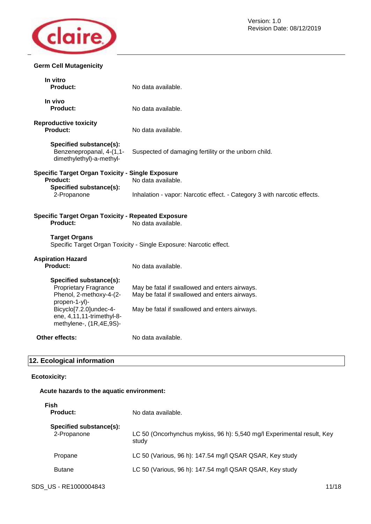

# **Germ Cell Mutagenicity**

| In vitro<br><b>Product:</b>                                                                         | No data available.                                                                             |
|-----------------------------------------------------------------------------------------------------|------------------------------------------------------------------------------------------------|
| In vivo<br>Product:                                                                                 | No data available.                                                                             |
| <b>Reproductive toxicity</b><br>Product:                                                            | No data available.                                                                             |
| Specified substance(s):<br>Benzenepropanal, 4-(1,1-<br>dimethylethyl)-a-methyl-                     | Suspected of damaging fertility or the unborn child.                                           |
| <b>Specific Target Organ Toxicity - Single Exposure</b><br><b>Product:</b>                          | No data available.                                                                             |
| Specified substance(s):<br>2-Propanone                                                              | Inhalation - vapor: Narcotic effect. - Category 3 with narcotic effects.                       |
| <b>Specific Target Organ Toxicity - Repeated Exposure</b><br>Product:                               | No data available.                                                                             |
| <b>Target Organs</b>                                                                                | Specific Target Organ Toxicity - Single Exposure: Narcotic effect.                             |
| <b>Aspiration Hazard</b><br><b>Product:</b>                                                         | No data available.                                                                             |
| Specified substance(s):<br><b>Proprietary Fragrance</b><br>Phenol, 2-methoxy-4-(2-<br>propen-1-yl)- | May be fatal if swallowed and enters airways.<br>May be fatal if swallowed and enters airways. |
| Bicyclo[7.2.0]undec-4-<br>ene, 4,11,11-trimethyl-8-<br>methylene-, (1R,4E,9S)-                      | May be fatal if swallowed and enters airways.                                                  |
| Other effects:                                                                                      | No data available.                                                                             |

# **12. Ecological information**

# **Ecotoxicity:**

# **Acute hazards to the aquatic environment:**

| Fish<br><b>Product:</b>                | No data available.                                                              |
|----------------------------------------|---------------------------------------------------------------------------------|
| Specified substance(s):<br>2-Propanone | LC 50 (Oncorhynchus mykiss, 96 h): 5,540 mg/l Experimental result, Key<br>study |
| Propane                                | LC 50 (Various, 96 h): 147.54 mg/l QSAR QSAR, Key study                         |
| <b>Butane</b>                          | LC 50 (Various, 96 h): 147.54 mg/l QSAR QSAR, Key study                         |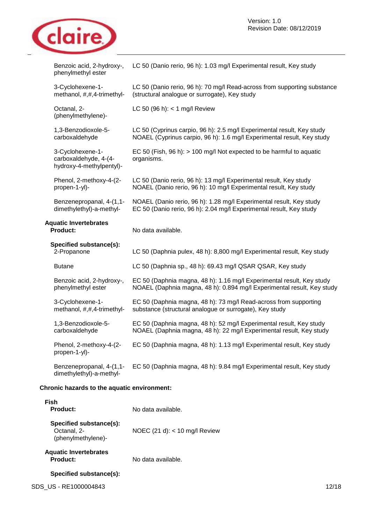

| Benzoic acid, 2-hydroxy-,<br>phenylmethyl ester                       | LC 50 (Danio rerio, 96 h): 1.03 mg/l Experimental result, Key study                                                                              |
|-----------------------------------------------------------------------|--------------------------------------------------------------------------------------------------------------------------------------------------|
| 3-Cyclohexene-1-<br>methanol, #,#,4-trimethyl-                        | LC 50 (Danio rerio, 96 h): 70 mg/l Read-across from supporting substance<br>(structural analogue or surrogate), Key study                        |
| Octanal, 2-<br>(phenylmethylene)-                                     | LC 50 (96 h): $<$ 1 mg/l Review                                                                                                                  |
| 1,3-Benzodioxole-5-<br>carboxaldehyde                                 | LC 50 (Cyprinus carpio, 96 h): 2.5 mg/l Experimental result, Key study<br>NOAEL (Cyprinus carpio, 96 h): 1.6 mg/l Experimental result, Key study |
| 3-Cyclohexene-1-<br>carboxaldehyde, 4-(4-<br>hydroxy-4-methylpentyl)- | EC 50 (Fish, 96 h): > 100 mg/l Not expected to be harmful to aquatic<br>organisms.                                                               |
| Phenol, 2-methoxy-4-(2-<br>propen-1-yl)-                              | LC 50 (Danio rerio, 96 h): 13 mg/l Experimental result, Key study<br>NOAEL (Danio rerio, 96 h): 10 mg/l Experimental result, Key study           |
| Benzenepropanal, 4-(1,1-<br>dimethylethyl)-a-methyl-                  | NOAEL (Danio rerio, 96 h): 1.28 mg/l Experimental result, Key study<br>EC 50 (Danio rerio, 96 h): 2.04 mg/l Experimental result, Key study       |
|                                                                       |                                                                                                                                                  |
| <b>Aquatic Invertebrates</b><br><b>Product:</b>                       | No data available.                                                                                                                               |
| Specified substance(s):<br>2-Propanone                                | LC 50 (Daphnia pulex, 48 h): 8,800 mg/l Experimental result, Key study                                                                           |
| <b>Butane</b>                                                         | LC 50 (Daphnia sp., 48 h): 69.43 mg/l QSAR QSAR, Key study                                                                                       |
| Benzoic acid, 2-hydroxy-,<br>phenylmethyl ester                       | EC 50 (Daphnia magna, 48 h): 1.16 mg/l Experimental result, Key study<br>NOAEL (Daphnia magna, 48 h): 0.894 mg/l Experimental result, Key study  |
| 3-Cyclohexene-1-<br>methanol, #,#,4-trimethyl-                        | EC 50 (Daphnia magna, 48 h): 73 mg/l Read-across from supporting<br>substance (structural analogue or surrogate), Key study                      |
| 1,3-Benzodioxole-5-<br>carboxaldehyde                                 | EC 50 (Daphnia magna, 48 h): 52 mg/l Experimental result, Key study<br>NOAEL (Daphnia magna, 48 h): 22 mg/l Experimental result, Key study       |
| Phenol, 2-methoxy-4-(2-<br>propen-1-yl)-                              | EC 50 (Daphnia magna, 48 h): 1.13 mg/l Experimental result, Key study                                                                            |

# **Chronic hazards to the aquatic environment:**

| Fish<br>Product:                                             | No data available.              |
|--------------------------------------------------------------|---------------------------------|
| Specified substance(s):<br>Octanal, 2-<br>(phenylmethylene)- | NOEC $(21 d): < 10 mg/l$ Review |
| <b>Aquatic Invertebrates</b><br>Product:                     | No data available.              |
| Specified substance(s):                                      |                                 |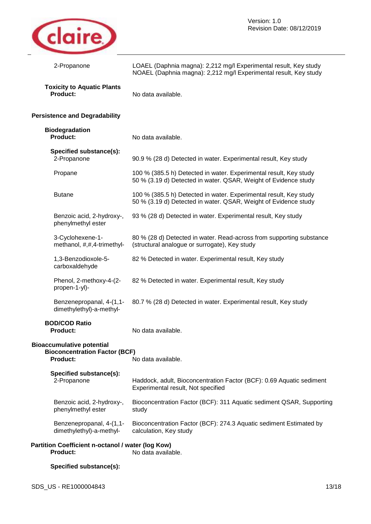

| 2-Propanone                                                                                 | LOAEL (Daphnia magna): 2,212 mg/l Experimental result, Key study<br>NOAEL (Daphnia magna): 2,212 mg/l Experimental result, Key study |  |
|---------------------------------------------------------------------------------------------|--------------------------------------------------------------------------------------------------------------------------------------|--|
| <b>Toxicity to Aquatic Plants</b><br><b>Product:</b>                                        | No data available.                                                                                                                   |  |
| <b>Persistence and Degradability</b>                                                        |                                                                                                                                      |  |
| <b>Biodegradation</b><br><b>Product:</b>                                                    | No data available.                                                                                                                   |  |
| Specified substance(s):<br>2-Propanone                                                      | 90.9 % (28 d) Detected in water. Experimental result, Key study                                                                      |  |
| Propane                                                                                     | 100 % (385.5 h) Detected in water. Experimental result, Key study<br>50 % (3.19 d) Detected in water. QSAR, Weight of Evidence study |  |
| <b>Butane</b>                                                                               | 100 % (385.5 h) Detected in water. Experimental result, Key study<br>50 % (3.19 d) Detected in water. QSAR, Weight of Evidence study |  |
| Benzoic acid, 2-hydroxy-,<br>phenylmethyl ester                                             | 93 % (28 d) Detected in water. Experimental result, Key study                                                                        |  |
| 3-Cyclohexene-1-<br>methanol, #,#,4-trimethyl-                                              | 80 % (28 d) Detected in water. Read-across from supporting substance<br>(structural analogue or surrogate), Key study                |  |
| 1,3-Benzodioxole-5-<br>carboxaldehyde                                                       | 82 % Detected in water. Experimental result, Key study                                                                               |  |
| Phenol, 2-methoxy-4-(2-<br>propen-1-yl)-                                                    | 82 % Detected in water. Experimental result, Key study                                                                               |  |
| Benzenepropanal, 4-(1,1-<br>dimethylethyl)-a-methyl-                                        | 80.7 % (28 d) Detected in water. Experimental result, Key study                                                                      |  |
| <b>BOD/COD Ratio</b><br><b>Product:</b>                                                     | No data available.                                                                                                                   |  |
| <b>Bioaccumulative potential</b><br><b>Bioconcentration Factor (BCF)</b><br><b>Product:</b> | No data available.                                                                                                                   |  |
| Specified substance(s):<br>2-Propanone                                                      | Haddock, adult, Bioconcentration Factor (BCF): 0.69 Aquatic sediment<br>Experimental result, Not specified                           |  |
| Benzoic acid, 2-hydroxy-,<br>phenylmethyl ester                                             | Bioconcentration Factor (BCF): 311 Aquatic sediment QSAR, Supporting<br>study                                                        |  |
| Benzenepropanal, 4-(1,1-<br>dimethylethyl)-a-methyl-                                        | Bioconcentration Factor (BCF): 274.3 Aquatic sediment Estimated by<br>calculation, Key study                                         |  |
| Partition Coefficient n-octanol / water (log Kow)<br>No data available.<br><b>Product:</b>  |                                                                                                                                      |  |

# **Specified substance(s):**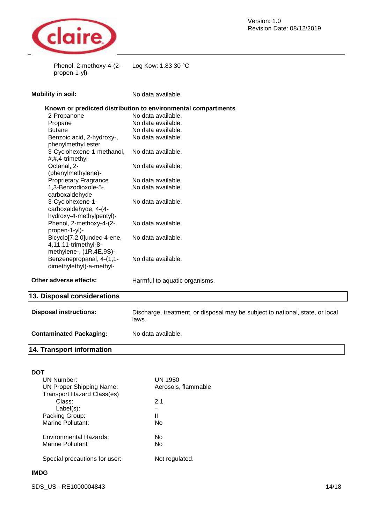

Phenol, 2-methoxy-4-(2- Log Kow: 1.83 30 °C propen-1-yl)-

| <b>Mobility in soil:</b> |  |  |
|--------------------------|--|--|
|                          |  |  |
|                          |  |  |

No data available.

|  |  |  | Known or predicted distribution to environmental compartments |
|--|--|--|---------------------------------------------------------------|
|  |  |  |                                                               |

| 2-Propanone                  | No data available. |
|------------------------------|--------------------|
| Propane                      | No data available. |
| <b>Butane</b>                | No data available. |
| Benzoic acid, 2-hydroxy-,    | No data available. |
| phenylmethyl ester           |                    |
| 3-Cyclohexene-1-methanol,    | No data available. |
| #,#,4-trimethyl-             |                    |
| Octanal, 2-                  | No data available. |
| (phenylmethylene)-           |                    |
| <b>Proprietary Fragrance</b> | No data available. |
| 1,3-Benzodioxole-5-          | No data available. |
| carboxaldehyde               |                    |
| 3-Cyclohexene-1-             | No data available. |
| carboxaldehyde, 4-(4-        |                    |
| hydroxy-4-methylpentyl)-     |                    |
| Phenol, 2-methoxy-4-(2-      | No data available. |
| propen-1-yl)-                |                    |
| Bicyclo[7.2.0]undec-4-ene,   | No data available. |
| 4,11,11-trimethyl-8-         |                    |
| methylene-, (1R,4E,9S)-      |                    |
| Benzenepropanal, 4-(1,1-     | No data available. |
| dimethylethyl)-a-methyl-     |                    |
|                              |                    |

**Other adverse effects:** 

Harmful to aquatic organisms.

# **13. Disposal considerations**

| <b>Disposal instructions:</b>    | Discharge, treatment, or disposal may be subject to national, state, or local<br>laws. |
|----------------------------------|----------------------------------------------------------------------------------------|
| <b>Contaminated Packaging:</b>   | No data available.                                                                     |
| <b>14. Transport information</b> |                                                                                        |

| DOT                               |                     |
|-----------------------------------|---------------------|
| UN Number:                        | UN 1950             |
| <b>UN Proper Shipping Name:</b>   | Aerosols, flammable |
| <b>Transport Hazard Class(es)</b> |                     |
| Class:                            | 21                  |
| $Label(s)$ :                      |                     |
| Packing Group:                    | Ш                   |
| Marine Pollutant:                 | Nο                  |
| Environmental Hazards:            | N٥                  |
| Marine Pollutant                  | Nο                  |
| Special precautions for user:     | Not regulated.      |

# **IMDG**

SDS\_US - RE1000004843 14/18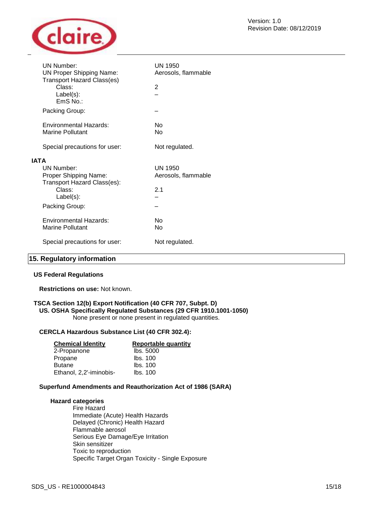

|             | UN Number:<br><b>UN Proper Shipping Name:</b><br><b>Transport Hazard Class(es)</b> | UN 1950<br>Aerosols, flammable |
|-------------|------------------------------------------------------------------------------------|--------------------------------|
|             | Class:<br>$Label(s)$ :<br>EmS No.:                                                 | $\overline{2}$                 |
|             | Packing Group:                                                                     |                                |
|             | Environmental Hazards:<br>Marine Pollutant                                         | N٥<br>No                       |
|             | Special precautions for user:                                                      | Not regulated.                 |
| <b>IATA</b> |                                                                                    |                                |
|             | <b>UN Number:</b><br>Proper Shipping Name:<br>Transport Hazard Class(es):          | UN 1950<br>Aerosols, flammable |
|             | Class:<br>$Label(s)$ :                                                             | 2.1                            |
|             | Packing Group:                                                                     |                                |
|             | Environmental Hazards:<br>Marine Pollutant                                         | N٥<br>No                       |
|             | Special precautions for user:                                                      | Not regulated.                 |

# **15. Regulatory information**

### **US Federal Regulations**

**Restrictions on use:** Not known.

# **TSCA Section 12(b) Export Notification (40 CFR 707, Subpt. D)**

# **US. OSHA Specifically Regulated Substances (29 CFR 1910.1001-1050)**

None present or none present in regulated quantities.

### **CERCLA Hazardous Substance List (40 CFR 302.4):**

| <b>Chemical Identity</b> | Reportable quantity |
|--------------------------|---------------------|
| 2-Propanone              | lbs. 5000           |
| Propane                  | Ibs. 100            |
| <b>Butane</b>            | Ibs. 100            |
| Ethanol, 2,2'-iminobis-  | Ibs. 100            |

### **Superfund Amendments and Reauthorization Act of 1986 (SARA)**

### **Hazard categories**

Fire Hazard Immediate (Acute) Health Hazards Delayed (Chronic) Health Hazard Flammable aerosol Serious Eye Damage/Eye Irritation Skin sensitizer Toxic to reproduction Specific Target Organ Toxicity - Single Exposure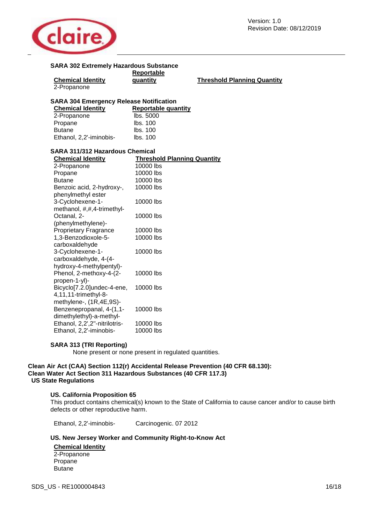

| <b>SARA 302 Extremely Hazardous Substance</b>  |                                    |                                    |
|------------------------------------------------|------------------------------------|------------------------------------|
|                                                | Reportable                         |                                    |
| <b>Chemical Identity</b>                       | quantity                           | <b>Threshold Planning Quantity</b> |
| 2-Propanone                                    |                                    |                                    |
| <b>SARA 304 Emergency Release Notification</b> |                                    |                                    |
| <b>Chemical Identity</b>                       | <b>Reportable quantity</b>         |                                    |
| 2-Propanone                                    | lbs. 5000                          |                                    |
| Propane                                        | lbs. 100                           |                                    |
| <b>Butane</b>                                  | lbs. 100                           |                                    |
| Ethanol, 2,2'-iminobis-                        | lbs. 100                           |                                    |
|                                                |                                    |                                    |
| <b>SARA 311/312 Hazardous Chemical</b>         |                                    |                                    |
| <b>Chemical Identity</b>                       | <b>Threshold Planning Quantity</b> |                                    |
| 2-Propanone                                    | 10000 lbs                          |                                    |
| Propane                                        | 10000 lbs                          |                                    |
| <b>Butane</b>                                  | 10000 lbs                          |                                    |
| Benzoic acid, 2-hydroxy-,                      | 10000 lbs                          |                                    |
| phenylmethyl ester                             |                                    |                                    |
| 3-Cyclohexene-1-                               | 10000 lbs                          |                                    |
| methanol, #,#,4-trimethyl-                     |                                    |                                    |
| Octanal, 2-                                    | 10000 lbs                          |                                    |
| (phenylmethylene)-                             |                                    |                                    |
| <b>Proprietary Fragrance</b>                   | 10000 lbs                          |                                    |
| 1,3-Benzodioxole-5-                            | 10000 lbs                          |                                    |
| carboxaldehyde                                 |                                    |                                    |
| 3-Cyclohexene-1-                               | 10000 lbs                          |                                    |
| carboxaldehyde, 4-(4-                          |                                    |                                    |
| hydroxy-4-methylpentyl)-                       |                                    |                                    |
| Phenol, 2-methoxy-4-(2-                        | 10000 lbs                          |                                    |
| propen-1-yl)-                                  |                                    |                                    |
| Bicyclo[7.2.0]undec-4-ene,                     | 10000 lbs                          |                                    |
| 4,11,11-trimethyl-8-                           |                                    |                                    |
| methylene-, (1R,4E,9S)-                        |                                    |                                    |
| Benzenepropanal, 4-(1,1-                       | 10000 lbs                          |                                    |
| dimethylethyl)-a-methyl-                       |                                    |                                    |
| Ethanol, 2,2',2"-nitrilotris-                  | 10000 lbs                          |                                    |
| Ethanol, 2,2'-iminobis-                        | 10000 lbs                          |                                    |

# **SARA 313 (TRI Reporting)**

None present or none present in regulated quantities.

### **Clean Air Act (CAA) Section 112(r) Accidental Release Prevention (40 CFR 68.130): Clean Water Act Section 311 Hazardous Substances (40 CFR 117.3) US State Regulations**

### **US. California Proposition 65**

This product contains chemical(s) known to the State of California to cause cancer and/or to cause birth defects or other reproductive harm.

Ethanol, 2,2'-iminobis- Carcinogenic. 07 2012

### **US. New Jersey Worker and Community Right-to-Know Act**

**Chemical Identity**  2-Propanone Propane **Butane** 

SDS\_US - RE1000004843 16/18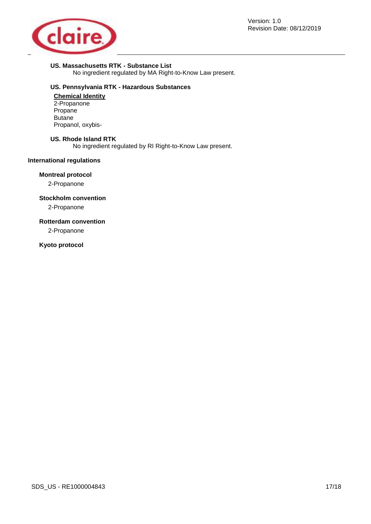

# **US. Massachusetts RTK - Substance List**

No ingredient regulated by MA Right-to-Know Law present.

# **US. Pennsylvania RTK - Hazardous Substances**

**Chemical Identity**  2-Propanone Propane Butane Propanol, oxybis-

### **US. Rhode Island RTK**

No ingredient regulated by RI Right-to-Know Law present.

# **International regulations**

### **Montreal protocol**

2-Propanone

# **Stockholm convention**

2-Propanone

# **Rotterdam convention**

2-Propanone

# **Kyoto protocol**